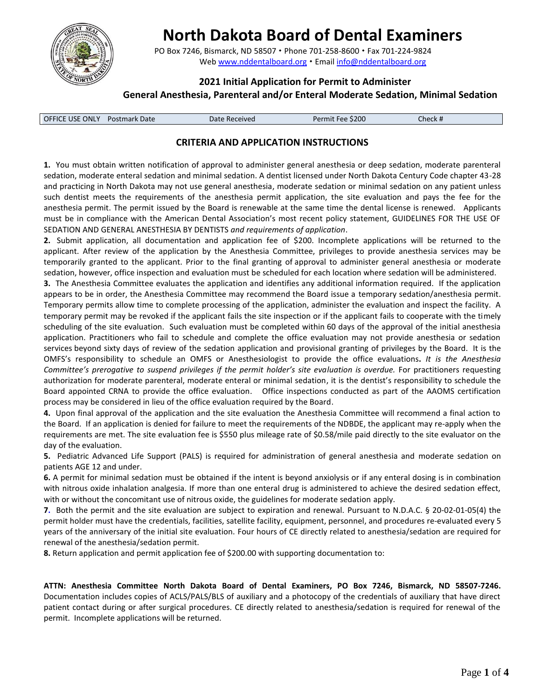

# **North Dakota Board of Dental Examiners**

PO Box 7246, Bismarck, ND 58507 · Phone 701-258-8600 · Fax 701-224-9824 Web [www.nddentalboard.org](http://www.nddentalboard.org/) • Email [info@nddentalboard.org](mailto:info@nddentalboard.org)

# **2021 Initial Application for Permit to Administer**

## **General Anesthesia, Parenteral and/or Enteral Moderate Sedation, Minimal Sedation**

| <b>OFFICE USE ONLY Postmark Date</b> | Date Received | Permit Fee \$200 | Check # |  |
|--------------------------------------|---------------|------------------|---------|--|

## **CRITERIA AND APPLICATION INSTRUCTIONS**

**1.** You must obtain written notification of approval to administer general anesthesia or deep sedation, moderate parenteral sedation, moderate enteral sedation and minimal sedation. A dentist licensed under North Dakota Century Code chapter 43-28 and practicing in North Dakota may not use general anesthesia, moderate sedation or minimal sedation on any patient unless such dentist meets the requirements of the anesthesia permit application, the site evaluation and pays the fee for the anesthesia permit. The permit issued by the Board is renewable at the same time the dental license is renewed. Applicants must be in compliance with the American Dental Association's most recent policy statement, GUIDELINES FOR THE USE OF SEDATION AND GENERAL ANESTHESIA BY DENTISTS *and requirements of application*.

**2.** Submit application, all documentation and application fee of \$200. Incomplete applications will be returned to the applicant. After review of the application by the Anesthesia Committee, privileges to provide anesthesia services may be temporarily granted to the applicant. Prior to the final granting of approval to administer general anesthesia or moderate sedation, however, office inspection and evaluation must be scheduled for each location where sedation will be administered.

**3.** The Anesthesia Committee evaluates the application and identifies any additional information required. If the application appears to be in order, the Anesthesia Committee may recommend the Board issue a temporary sedation/anesthesia permit. Temporary permits allow time to complete processing of the application, administer the evaluation and inspect the facility. A temporary permit may be revoked if the applicant fails the site inspection or if the applicant fails to cooperate with the timely scheduling of the site evaluation. Such evaluation must be completed within 60 days of the approval of the initial anesthesia application. Practitioners who fail to schedule and complete the office evaluation may not provide anesthesia or sedation services beyond sixty days of review of the sedation application and provisional granting of privileges by the Board.It is the OMFS's responsibility to schedule an OMFS or Anesthesiologist to provide the office evaluations**.** *It is the Anesthesia Committee's prerogative to suspend privileges if the permit holder's site evaluation is overdue.* For practitioners requesting authorization for moderate parenteral, moderate enteral or minimal sedation, it is the dentist's responsibility to schedule the Board appointed CRNA to provide the office evaluation. Office inspections conducted as part of the AAOMS certification process may be considered in lieu of the office evaluation required by the Board.

**4.** Upon final approval of the application and the site evaluation the Anesthesia Committee will recommend a final action to the Board. If an application is denied for failure to meet the requirements of the NDBDE, the applicant may re-apply when the requirements are met. The site evaluation fee is \$550 plus mileage rate of \$0.58/mile paid directly to the site evaluator on the day of the evaluation.

**5.** Pediatric Advanced Life Support (PALS) is required for administration of general anesthesia and moderate sedation on patients AGE 12 and under.

**6.** A permit for minimal sedation must be obtained if the intent is beyond anxiolysis or if any enteral dosing is in combination with nitrous oxide inhalation analgesia. If more than one enteral drug is administered to achieve the desired sedation effect, with or without the concomitant use of nitrous oxide, the guidelines for moderate sedation apply.

**7.** Both the permit and the site evaluation are subject to expiration and renewal. Pursuant to N.D.A.C. § 20-02-01-05(4) the permit holder must have the credentials, facilities, satellite facility, equipment, personnel, and procedures re-evaluated every 5 years of the anniversary of the initial site evaluation. Four hours of CE directly related to anesthesia/sedation are required for renewal of the anesthesia/sedation permit.

**8.** Return application and permit application fee of \$200.00 with supporting documentation to:

**ATTN: Anesthesia Committee North Dakota Board of Dental Examiners, PO Box 7246, Bismarck, ND 58507-7246.**  Documentation includes copies of ACLS/PALS/BLS of auxiliary and a photocopy of the credentials of auxiliary that have direct patient contact during or after surgical procedures. CE directly related to anesthesia/sedation is required for renewal of the permit. Incomplete applications will be returned.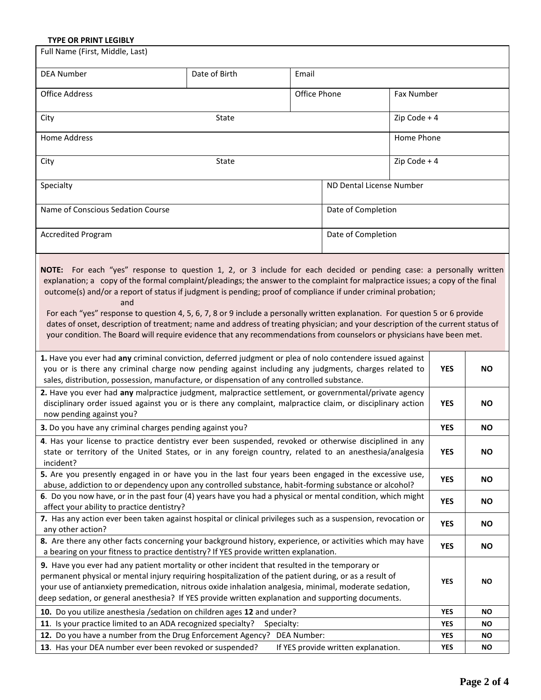# **TYPE OR PRINT LEGIBLY**

| Full Name (First, Middle, Last)                                                                                                                                                                                                                                                                                                                                                                                                                                                                                                                                                                                                                    |               |              |               |            |           |  |
|----------------------------------------------------------------------------------------------------------------------------------------------------------------------------------------------------------------------------------------------------------------------------------------------------------------------------------------------------------------------------------------------------------------------------------------------------------------------------------------------------------------------------------------------------------------------------------------------------------------------------------------------------|---------------|--------------|---------------|------------|-----------|--|
| <b>DEA Number</b>                                                                                                                                                                                                                                                                                                                                                                                                                                                                                                                                                                                                                                  | Date of Birth | Email        |               |            |           |  |
| <b>Office Address</b>                                                                                                                                                                                                                                                                                                                                                                                                                                                                                                                                                                                                                              |               | Office Phone |               | Fax Number |           |  |
| State<br>City                                                                                                                                                                                                                                                                                                                                                                                                                                                                                                                                                                                                                                      |               |              | Zip Code $+4$ |            |           |  |
| Home Address<br>Home Phone                                                                                                                                                                                                                                                                                                                                                                                                                                                                                                                                                                                                                         |               |              |               |            |           |  |
| Zip Code $+4$<br>City<br>State                                                                                                                                                                                                                                                                                                                                                                                                                                                                                                                                                                                                                     |               |              |               |            |           |  |
| ND Dental License Number<br>Specialty                                                                                                                                                                                                                                                                                                                                                                                                                                                                                                                                                                                                              |               |              |               |            |           |  |
| Name of Conscious Sedation Course<br>Date of Completion                                                                                                                                                                                                                                                                                                                                                                                                                                                                                                                                                                                            |               |              |               |            |           |  |
| <b>Accredited Program</b><br>Date of Completion                                                                                                                                                                                                                                                                                                                                                                                                                                                                                                                                                                                                    |               |              |               |            |           |  |
| explanation; a copy of the formal complaint/pleadings; the answer to the complaint for malpractice issues; a copy of the final<br>outcome(s) and/or a report of status if judgment is pending; proof of compliance if under criminal probation;<br>and<br>For each "yes" response to question 4, 5, 6, 7, 8 or 9 include a personally written explanation. For question 5 or 6 provide<br>dates of onset, description of treatment; name and address of treating physician; and your description of the current status of<br>your condition. The Board will require evidence that any recommendations from counselors or physicians have been met. |               |              |               |            |           |  |
| 1. Have you ever had any criminal conviction, deferred judgment or plea of nolo contendere issued against<br>you or is there any criminal charge now pending against including any judgments, charges related to<br>sales, distribution, possession, manufacture, or dispensation of any controlled substance.                                                                                                                                                                                                                                                                                                                                     |               |              |               | <b>YES</b> | NO.       |  |
| 2. Have you ever had any malpractice judgment, malpractice settlement, or governmental/private agency<br>disciplinary order issued against you or is there any complaint, malpractice claim, or disciplinary action<br>now pending against you?                                                                                                                                                                                                                                                                                                                                                                                                    |               |              | <b>YES</b>    | NO.        |           |  |
| 3. Do you have any criminal charges pending against you?                                                                                                                                                                                                                                                                                                                                                                                                                                                                                                                                                                                           |               |              |               | <b>YES</b> | <b>NO</b> |  |
| 4. Has your license to practice dentistry ever been suspended, revoked or otherwise disciplined in any<br>state or territory of the United States, or in any foreign country, related to an anesthesia/analgesia<br>incident?                                                                                                                                                                                                                                                                                                                                                                                                                      |               |              |               | <b>YES</b> | <b>NO</b> |  |
| 5. Are you presently engaged in or have you in the last four years been engaged in the excessive use,<br>abuse, addiction to or dependency upon any controlled substance, habit-forming substance or alcohol?                                                                                                                                                                                                                                                                                                                                                                                                                                      |               |              |               | <b>YES</b> | <b>NO</b> |  |
| 6. Do you now have, or in the past four (4) years have you had a physical or mental condition, which might<br>affect your ability to practice dentistry?                                                                                                                                                                                                                                                                                                                                                                                                                                                                                           |               |              |               | YES        | <b>NO</b> |  |
| 7. Has any action ever been taken against hospital or clinical privileges such as a suspension, revocation or<br>any other action?                                                                                                                                                                                                                                                                                                                                                                                                                                                                                                                 |               |              | YES           | <b>NO</b>  |           |  |
| 8. Are there any other facts concerning your background history, experience, or activities which may have<br>a bearing on your fitness to practice dentistry? If YES provide written explanation.                                                                                                                                                                                                                                                                                                                                                                                                                                                  |               |              | <b>YES</b>    | <b>NO</b>  |           |  |
| 9. Have you ever had any patient mortality or other incident that resulted in the temporary or<br>permanent physical or mental injury requiring hospitalization of the patient during, or as a result of<br>your use of antianxiety premedication, nitrous oxide inhalation analgesia, minimal, moderate sedation,<br>deep sedation, or general anesthesia? If YES provide written explanation and supporting documents.                                                                                                                                                                                                                           |               |              | <b>YES</b>    | <b>NO</b>  |           |  |
| 10. Do you utilize anesthesia / sedation on children ages 12 and under?                                                                                                                                                                                                                                                                                                                                                                                                                                                                                                                                                                            |               |              | <b>YES</b>    | ΝO         |           |  |
| 11. Is your practice limited to an ADA recognized specialty?<br>Specialty:                                                                                                                                                                                                                                                                                                                                                                                                                                                                                                                                                                         |               |              | <b>YES</b>    | ΝO         |           |  |
| 12. Do you have a number from the Drug Enforcement Agency? DEA Number:                                                                                                                                                                                                                                                                                                                                                                                                                                                                                                                                                                             |               |              |               | YES        | ΝO        |  |
| 13. Has your DEA number ever been revoked or suspended?<br>If YES provide written explanation.                                                                                                                                                                                                                                                                                                                                                                                                                                                                                                                                                     |               |              | <b>YES</b>    | <b>NO</b>  |           |  |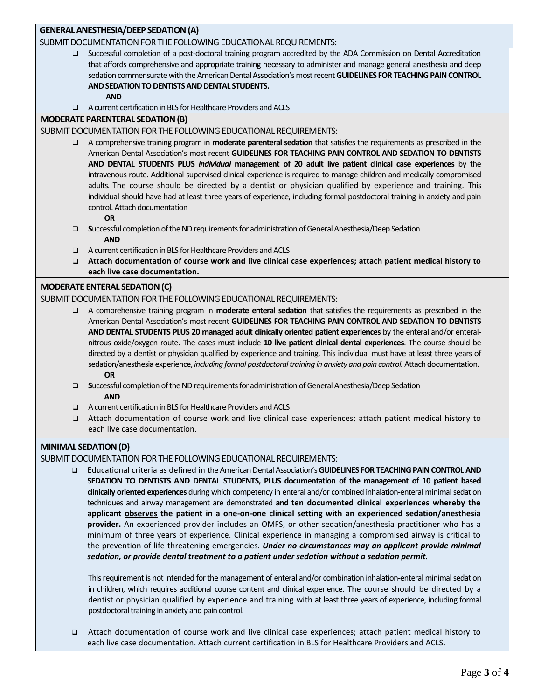## **GENERAL ANESTHESIA/DEEP SEDATION (A)**

#### SUBMIT DOCUMENTATION FOR THE FOLLOWING EDUCATIONAL REQUIREMENTS:

 Successful completion of a post-doctoral training program accredited by the ADA Commission on Dental Accreditation that affords comprehensive and appropriate training necessary to administer and manage general anesthesia and deep sedation commensurate with the American Dental Association's most recent **GUIDELINES FOR TEACHING PAIN CONTROL AND SEDATION TO DENTISTS AND DENTAL STUDENTS.**

 **AND**

A current certification in BLS for Healthcare Providers and ACLS

## **MODERATE PARENTERAL SEDATION (B)**

- SUBMIT DOCUMENTATION FOR THE FOLLOWING EDUCATIONAL REQUIREMENTS:
	- A comprehensive training program in **moderate parenteral sedation** that satisfies the requirements as prescribed in the American Dental Association's most recent **GUIDELINES FOR TEACHING PAIN CONTROL AND SEDATION TO DENTISTS AND DENTAL STUDENTS PLUS** *individual* **management of 20 adult live patient clinical case experiences** by the intravenous route. Additional supervised clinical experience is required to manage children and medically compromised adults. The course should be directed by a dentist or physician qualified by experience and training. This individual should have had at least three years of experience, including formal postdoctoral training in anxiety and pain control. Attach documentation

#### **OR**

- **S**uccessful completion of the ND requirements for administration of General Anesthesia/Deep Sedation **AND**
- A current certification in BLS for Healthcare Providers and ACLS
- **Attach documentation of course work and live clinical case experiences; attach patient medical history to each live case documentation.**

#### **MODERATE ENTERAL SEDATION (C)**

#### SUBMIT DOCUMENTATION FOR THE FOLLOWING EDUCATIONAL REQUIREMENTS:

- A comprehensive training program in **moderate enteral sedation** that satisfies the requirements as prescribed in the American Dental Association's most recent **GUIDELINES FOR TEACHING PAIN CONTROL AND SEDATION TO DENTISTS AND DENTAL STUDENTS PLUS 20 managed adult clinically oriented patient experiences** by the enteral and/or enteralnitrous oxide/oxygen route. The cases must include **10 live patient clinical dental experiences**. The course should be directed by a dentist or physician qualified by experience and training. This individual must have at least three years of sedation/anesthesia experience, *including formal postdoctoral training in anxiety and pain control.*Attach documentation.  **OR**
- **S**uccessful completion of the ND requirements for administration of General Anesthesia/Deep Sedation  **AND**
- A current certification in BLS for Healthcare Providers and ACLS
- Attach documentation of course work and live clinical case experiences; attach patient medical history to each live case documentation.

## **MINIMAL SEDATION (D)**

#### SUBMIT DOCUMENTATION FOR THE FOLLOWING EDUCATIONAL REQUIREMENTS:

 Educational criteria as defined in the American Dental Association's **GUIDELINES FOR TEACHING PAIN CONTROL AND SEDATION TO DENTISTS AND DENTAL STUDENTS, PLUS documentation of the management of 10 patient based clinically oriented experiences** during which competency in enteral and/or combined inhalation-enteral minimal sedation techniques and airway management are demonstrated **and ten documented clinical experiences whereby the applicant observes the patient in a one-on-one clinical setting with an experienced sedation/anesthesia provider.** An experienced provider includes an OMFS, or other sedation/anesthesia practitioner who has a minimum of three years of experience. Clinical experience in managing a compromised airway is critical to the prevention of life-threatening emergencies. *Under no circumstances may an applicant provide minimal sedation, or provide dental treatment to a patient under sedation without a sedation permit.*

This requirement is not intended for the management of enteral and/or combination inhalation-enteral minimal sedation in children, which requires additional course content and clinical experience. The course should be directed by a dentist or physician qualified by experience and training with at least three years of experience, including formal postdoctoral training in anxiety and pain control.

 Attach documentation of course work and live clinical case experiences; attach patient medical history to each live case documentation. Attach current certification in BLS for Healthcare Providers and ACLS.